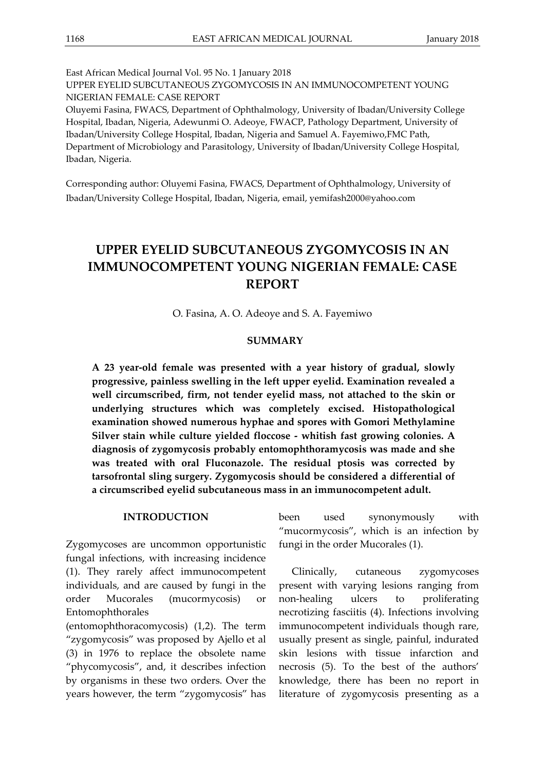East African Medical Journal Vol. 95 No. 1 January 2018 UPPER EYELID SUBCUTANEOUS ZYGOMYCOSIS IN AN IMMUNOCOMPETENT YOUNG NIGERIAN FEMALE: CASE REPORT Oluyemi Fasina, FWACS, Department of Ophthalmology, University of Ibadan/University College Hospital, Ibadan, Nigeria, Adewunmi O. Adeoye, FWACP, Pathology Department, University of Ibadan/University College Hospital, Ibadan, Nigeria and Samuel A. Fayemiwo,FMC Path, Department of Microbiology and Parasitology, University of Ibadan/University College Hospital, Ibadan, Nigeria.

Corresponding author: Oluyemi Fasina, FWACS, Department of Ophthalmology, University of Ibadan/University College Hospital, Ibadan, Nigeria, email, yemifash2000@yahoo.com

# **UPPER EYELID SUBCUTANEOUS ZYGOMYCOSIS IN AN IMMUNOCOMPETENT YOUNG NIGERIAN FEMALE: CASE REPORT**

O. Fasina, A. O. Adeoye and S. A. Fayemiwo

## **SUMMARY**

**A 23 year-old female was presented with a year history of gradual, slowly progressive, painless swelling in the left upper eyelid. Examination revealed a well circumscribed, firm, not tender eyelid mass, not attached to the skin or underlying structures which was completely excised. Histopathological examination showed numerous hyphae and spores with Gomori Methylamine Silver stain while culture yielded floccose - whitish fast growing colonies. A diagnosis of zygomycosis probably entomophthoramycosis was made and she was treated with oral Fluconazole. The residual ptosis was corrected by tarsofrontal sling surgery. Zygomycosis should be considered a differential of a circumscribed eyelid subcutaneous mass in an immunocompetent adult.**

## **INTRODUCTION**

Zygomycoses are uncommon opportunistic fungal infections, with increasing incidence (1). They rarely affect immunocompetent individuals, and are caused by fungi in the order Mucorales (mucormycosis) or Entomophthorales

(entomophthoracomycosis) (1,2). The term "zygomycosis" was proposed by Ajello et al (3) in 1976 to replace the obsolete name "phycomycosis", and, it describes infection by organisms in these two orders. Over the years however, the term "zygomycosis" has

been used synonymously with "mucormycosis", which is an infection by fungi in the order Mucorales (1).

Clinically, cutaneous zygomycoses present with varying lesions ranging from non-healing ulcers to proliferating necrotizing fasciitis (4). Infections involving immunocompetent individuals though rare, usually present as single, painful, indurated skin lesions with tissue infarction and necrosis (5). To the best of the authors' knowledge, there has been no report in literature of zygomycosis presenting as a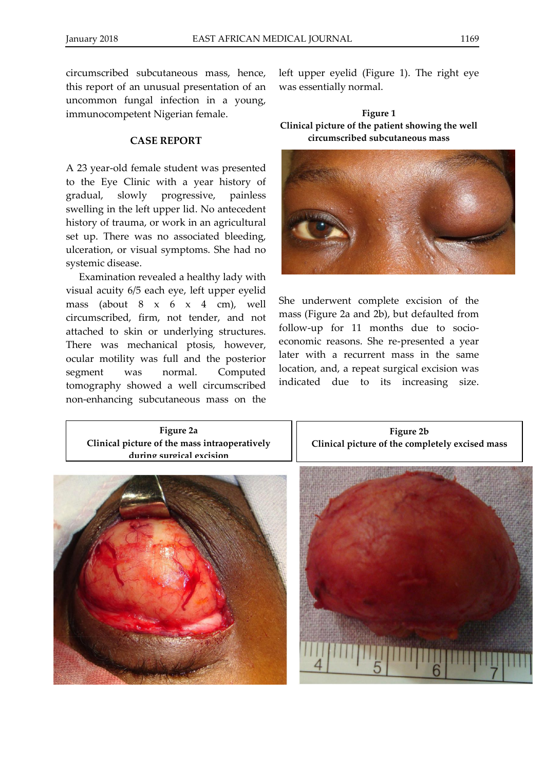circumscribed subcutaneous mass, hence, this report of an unusual presentation of an uncommon fungal infection in a young, immunocompetent Nigerian female.

### **CASE REPORT**

A 23 year-old female student was presented to the Eye Clinic with a year history of gradual, slowly progressive, painless swelling in the left upper lid. No antecedent history of trauma, or work in an agricultural set up. There was no associated bleeding, ulceration, or visual symptoms. She had no systemic disease.

Examination revealed a healthy lady with visual acuity 6/5 each eye, left upper eyelid mass (about 8 x 6 x 4 cm), well circumscribed, firm, not tender, and not attached to skin or underlying structures. There was mechanical ptosis, however, ocular motility was full and the posterior segment was normal. Computed tomography showed a well circumscribed non-enhancing subcutaneous mass on the

left upper eyelid (Figure 1). The right eye was essentially normal.

**Figure 1 Clinical picture of the patient showing the well circumscribed subcutaneous mass**



She underwent complete excision of the mass (Figure 2a and 2b), but defaulted from follow-up for 11 months due to socioeconomic reasons. She re-presented a year later with a recurrent mass in the same location, and, a repeat surgical excision was indicated due to its increasing size.

**Figure 2a Clinical picture of the mass intraoperatively during surgical excision**



**Figure 2b Clinical picture of the completely excised mass**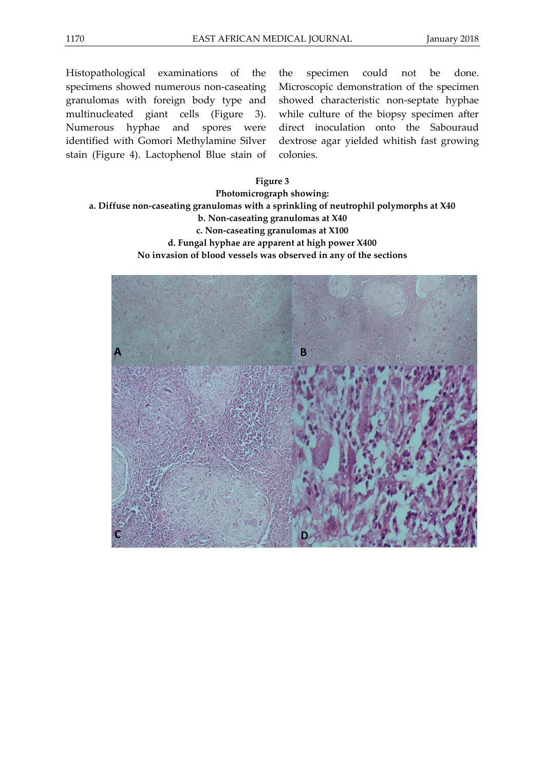Histopathological examinations of the specimens showed numerous non-caseating granulomas with foreign body type and multinucleated giant cells (Figure 3). Numerous hyphae and spores were identified with Gomori Methylamine Silver stain (Figure 4). Lactophenol Blue stain of the specimen could not be done. Microscopic demonstration of the specimen showed characteristic non-septate hyphae while culture of the biopsy specimen after direct inoculation onto the Sabouraud dextrose agar yielded whitish fast growing colonies.

## **Figure 3**

## **Photomicrograph showing: a. Diffuse non-caseating granulomas with a sprinkling of neutrophil polymorphs at X40 b. Non-caseating granulomas at X40 c. Non-caseating granulomas at X100 d. Fungal hyphae are apparent at high power X400 No invasion of blood vessels was observed in any of the sections**

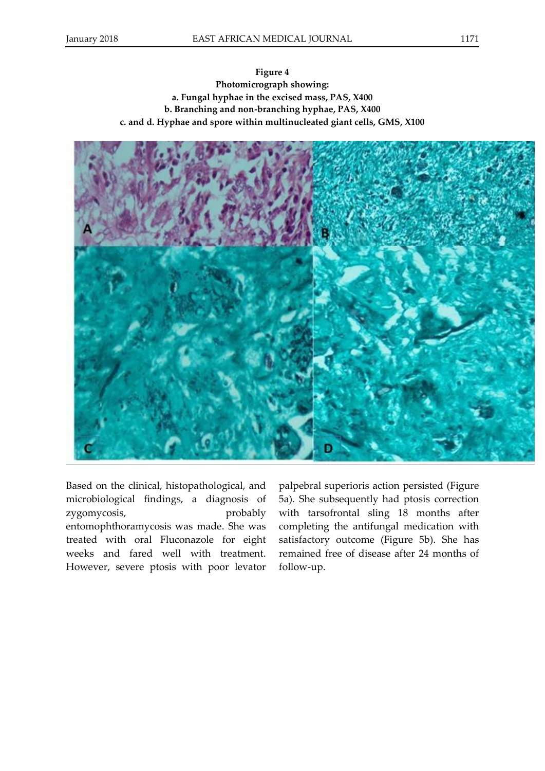**Figure 4 Photomicrograph showing: a. Fungal hyphae in the excised mass, PAS, X400 b. Branching and non-branching hyphae, PAS, X400 c. and d. Hyphae and spore within multinucleated giant cells, GMS, X100**



Based on the clinical, histopathological, and microbiological findings, a diagnosis of zygomycosis, probably entomophthoramycosis was made. She was treated with oral Fluconazole for eight weeks and fared well with treatment. However, severe ptosis with poor levator

palpebral superioris action persisted (Figure 5a). She subsequently had ptosis correction with tarsofrontal sling 18 months after completing the antifungal medication with satisfactory outcome (Figure 5b). She has remained free of disease after 24 months of follow-up.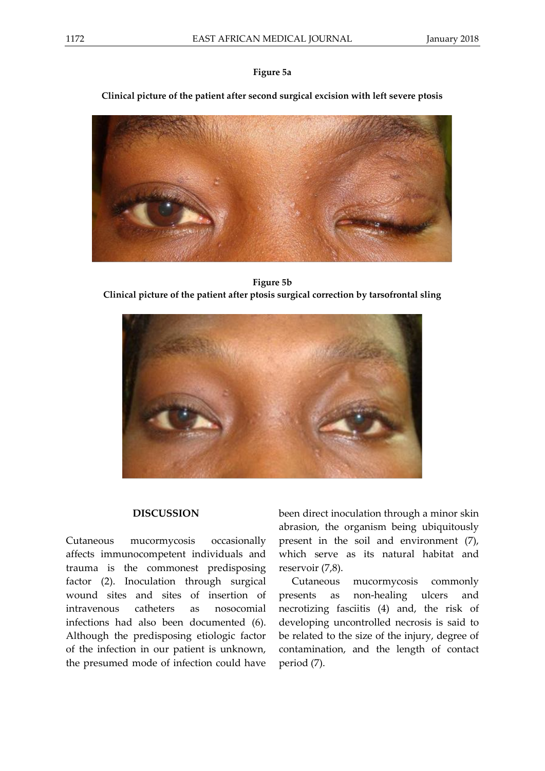## **Figure 5a**

## **Clinical picture of the patient after second surgical excision with left severe ptosis**



**Figure 5b Clinical picture of the patient after ptosis surgical correction by tarsofrontal sling**



### **DISCUSSION**

Cutaneous mucormycosis occasionally affects immunocompetent individuals and trauma is the commonest predisposing factor (2). Inoculation through surgical wound sites and sites of insertion of intravenous catheters as nosocomial infections had also been documented (6). Although the predisposing etiologic factor of the infection in our patient is unknown, the presumed mode of infection could have

been direct inoculation through a minor skin abrasion, the organism being ubiquitously present in the soil and environment (7), which serve as its natural habitat and reservoir (7,8).

Cutaneous mucormycosis commonly presents as non-healing ulcers and necrotizing fasciitis (4) and, the risk of developing uncontrolled necrosis is said to be related to the size of the injury, degree of contamination, and the length of contact period (7).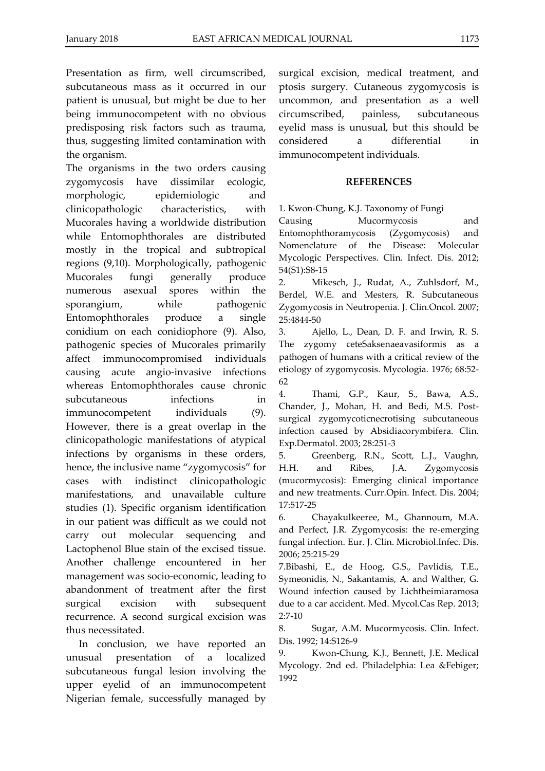Presentation as firm, well circumscribed, subcutaneous mass as it occurred in our patient is unusual, but might be due to her being immunocompetent with no obvious predisposing risk factors such as trauma, thus, suggesting limited contamination with the organism.

The organisms in the two orders causing zygomycosis have dissimilar ecologic, morphologic, epidemiologic and clinicopathologic characteristics, with Mucorales having a worldwide distribution while Entomophthorales are distributed mostly in the tropical and subtropical regions (9,10). Morphologically, pathogenic Mucorales fungi generally produce numerous asexual spores within the sporangium, while pathogenic Entomophthorales produce a single conidium on each conidiophore (9). Also, pathogenic species of Mucorales primarily affect immunocompromised individuals causing acute angio-invasive infections whereas Entomophthorales cause chronic subcutaneous infections in immunocompetent individuals (9). However, there is a great overlap in the clinicopathologic manifestations of atypical infections by organisms in these orders, hence, the inclusive name "zygomycosis" for cases with indistinct clinicopathologic manifestations, and unavailable culture studies (1). Specific organism identification in our patient was difficult as we could not carry out molecular sequencing and Lactophenol Blue stain of the excised tissue. Another challenge encountered in her management was socio-economic, leading to abandonment of treatment after the first surgical excision with subsequent recurrence. A second surgical excision was thus necessitated.

In conclusion, we have reported an unusual presentation of a localized subcutaneous fungal lesion involving the upper eyelid of an immunocompetent Nigerian female, successfully managed by surgical excision, medical treatment, and ptosis surgery. Cutaneous zygomycosis is uncommon, and presentation as a well circumscribed, painless, subcutaneous eyelid mass is unusual, but this should be considered a differential in immunocompetent individuals.

## **REFERENCES**

1. Kwon-Chung, K.J. Taxonomy of Fungi

Causing Mucormycosis and Entomophthoramycosis (Zygomycosis) and Nomenclature of the Disease: Molecular Mycologic Perspectives. Clin. Infect. Dis. 2012; 54(S1):S8-15

2. Mikesch, J., Rudat, A., Zuhlsdorf, M., Berdel, W.E. and Mesters, R. Subcutaneous Zygomycosis in Neutropenia. J. Clin.Oncol. 2007; 25:4844-50

3. Ajello, L., Dean, D. F. and Irwin, R. S. The zygomy ceteSaksenaeavasiformis as a pathogen of humans with a critical review of the etiology of zygomycosis. Mycologia. 1976; 68:52- 62

4. Thami, G.P., Kaur, S., Bawa, A.S., Chander, J., Mohan, H. and Bedi, M.S. Postsurgical zygomycoticnecrotising subcutaneous infection caused by Absidiacorymbifera. Clin. Exp.Dermatol. 2003; 28:251-3

5. Greenberg, R.N., Scott, L.J., Vaughn, H.H. and Ribes, J.A. Zygomycosis (mucormycosis): Emerging clinical importance and new treatments. Curr.Opin. Infect. Dis. 2004; 17:517-25

6. Chayakulkeeree, M., Ghannoum, M.A. and Perfect, J.R. Zygomycosis: the re-emerging fungal infection. Eur. J. Clin. Microbiol.Infec. Dis. 2006; 25:215-29

7.Bibashi, E., de Hoog, G.S., Pavlidis, T.E., Symeonidis, N., Sakantamis, A. and Walther, G. Wound infection caused by Lichtheimiaramosa due to a car accident. Med. Mycol.Cas Rep. 2013; 2:7-10

8. Sugar, A.M. Mucormycosis. Clin. Infect. Dis. 1992; 14:S126-9

9. Kwon-Chung, K.J., Bennett, J.E. Medical Mycology. 2nd ed. Philadelphia: Lea &Febiger; 1992